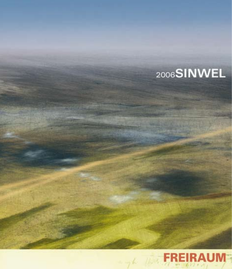# 2006SINWEL

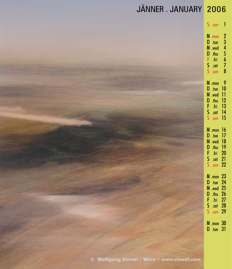| JÄNNER.JANUARY 2006                       |                                                                                                     |
|-------------------------------------------|-----------------------------------------------------------------------------------------------------|
|                                           | $S \sim$ sun 1                                                                                      |
|                                           | M .mon 2<br>D .tue 3<br>M .wed 4<br>D .thu 5<br>F .fri 6<br>S .sat 7<br>$S_{.5}$ sun<br>8           |
|                                           | M .mon<br>- 9<br>$D$ .tue $10$<br>M .wed 11<br>$D_{.thu}$ 12<br>F .fri 13<br>S .sat 14<br>S .sun 15 |
|                                           | M .mon 16<br>D .tue 17<br>M .wed 18<br>D .thu 19<br>F fri 20<br>S sot 21<br>$S$ .sun 22             |
|                                           | M .mon 23<br>D .tue 24<br>M .wed 25<br>D .thu 26<br>$$ fri 27<br>F<br>$S$ .sat 28<br>S .sun 29      |
| © Wolfaana Sinwel / Wien • www.sinwel.com | M .mon 30<br>D .tue 31                                                                              |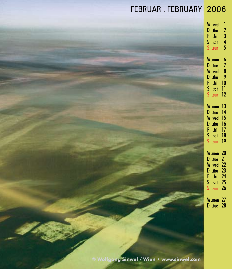### FEBRUAR . FEBRUARY 2006

| M                               | .wed                                                 | 1                                  |
|---------------------------------|------------------------------------------------------|------------------------------------|
| D                               | .thu                                                 | $\overline{2}$                     |
| F                               | .fri                                                 | 3                                  |
| s                               | .sat                                                 | 4                                  |
| S                               | .sun                                                 | 5                                  |
| M<br>D<br>M<br>D<br>Ē<br>Ś<br>S | .mon<br>.tue<br>.wed<br>.thu<br>.fri<br>.sat<br>.sun | 6<br>7<br>8<br>9<br>10<br>11<br>12 |
| M                               | .mon                                                 | 13                                 |
| D                               | .tue                                                 | 14                                 |
| M                               | .wed                                                 | $\overline{15}$                    |
| D                               | .thu                                                 | 16                                 |
| F                               | .fri                                                 | 17                                 |
| Ś                               | .sat                                                 | 18                                 |
| Ś                               | .sun                                                 | 19                                 |
| M                               | .mon                                                 | 20                                 |
| D                               | .tue                                                 | 21                                 |
| M                               | .wed                                                 | 22                                 |
| D                               | .thu                                                 | 23                                 |
| F                               | .fri                                                 | 24                                 |
| s                               | .sat                                                 | 25                                 |
| Ś                               | .sun                                                 | 26                                 |
| M<br>D                          | .mon $27$<br>tue.                                    |                                    |

**© Wolfgang Sinwel / Wien • www.sinwel.com**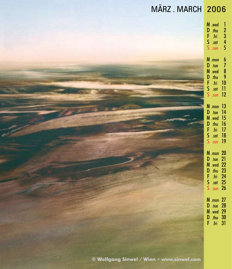| MÄRZ. MARCH 2006                          |                                                                                                                                         |
|-------------------------------------------|-----------------------------------------------------------------------------------------------------------------------------------------|
|                                           | M .wed<br>$\begin{array}{c} 1 \\ 2 \\ 3 \\ 4 \\ 5 \end{array}$<br>D thu<br>F fri<br>S sat<br>S sun                                      |
|                                           | $M$ .mon<br>$\begin{array}{c} 6 \\ 7 \\ 8 \\ 9 \\ 10 \\ 11 \\ 12 \end{array}$<br>$D$ .tue<br>M .wed<br>D thu<br>F fri<br>S sat<br>S sun |
|                                           | <b>M</b> .mon 13<br>D .tue 14<br>$M$ .wed 15<br>D .thu 16<br>F .fri 17<br>F .fri 17<br>S .sat 18<br>S .sun 19                           |
|                                           | M .mon 20<br>D .tue 21<br>M wed 22<br>D .thu 23<br>F .fri 24<br>S .sat 25<br>S .sun 26                                                  |
|                                           | <b>M</b> .mon 27<br>D .tue 28<br>M .wed 29<br>D .thu 30<br>F .fri 31                                                                    |
| © Wolfgang Sinwel / Wien · www.sinwel.com |                                                                                                                                         |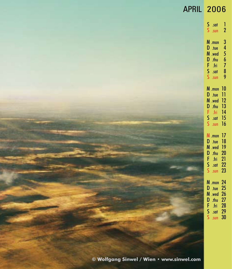#### APRIL 2006 S S<br>S .sur M D M D F S S M .mon 10 D .tue 11 M .wed 12 D .thu 13 F .fri 14 S S<br>S .sur M .mon 17 D .tue 18 M .wed 19 D F S S M .mon 24 D .tue 25 M .wed 26 D F S S .sun 30 .sun .mon .tue .wed .thu .fri .sat .sun .sun .thu .fri .sat .sun .thu .fri .sat 15 16 20 21 22 23 27 28 29 **© Wolfgang Sinwel / Wien • www.sinwel.com**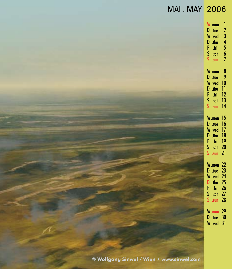#### MAI . MAY 2006 M D M D F S S M .mon D .tue M .wed 10 D F S S M .mon 15 D .tue 16 M .wed 17 D .thu 18 F S .fri S .sun 21 M .mon 22 D .tue 23 M .wed 24 D F S S .sun 28 M .mon 29 D .tue 30 M .wed 31 .mon .tue .wed .thu .fri .sat .sun .thu .fri .sat .sun .sat .thu .fri .sat 1 2 3 4 5 6 7 8 9 11 12 13 14 19 20 25 26 27 **© Wolfgang Sinwel / Wien • www.sinwel.com**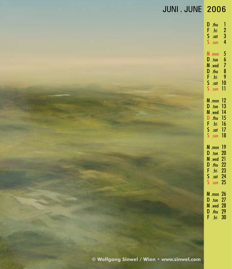#### JUNI . JUNE 2006

| D<br>F<br>S<br>Ś                | .thu<br>.fri<br>.sat<br>.sun                         | 1<br>$\frac{2}{3}$<br>4                           |
|---------------------------------|------------------------------------------------------|---------------------------------------------------|
| M<br>D<br>M<br>D<br>F<br>s<br>S | .mon<br>.tue<br>.wed<br>.thu<br>.fri<br>.sat<br>.sun | 5<br>6<br>7<br>8<br>9<br>10<br>11                 |
| M<br>D<br>M<br>D<br>F<br>s<br>S | .mon<br>.tue<br>.wed<br>.thu<br>.fri<br>.sat<br>.sun | 12<br>13<br>14<br>15<br>16<br>17<br>18            |
| M<br>D<br>M<br>D<br>F<br>S<br>S | .mon<br>.tue<br>.wed<br>.thu<br>.fri<br>.sat<br>.sun | 19<br>20<br>21<br>22<br>$\frac{1}{2}$<br>24<br>25 |
| M<br>D<br>M<br>D<br>F           | .mon<br>.tue<br>.wed<br>.thu<br>.fri                 | 26<br>27<br>28<br>29<br>30                        |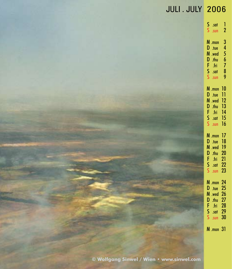#### JULI . JULY 2006

| s<br>S                          | .sat<br>.sun                                         | Ī<br>$\overline{2}$                                      |
|---------------------------------|------------------------------------------------------|----------------------------------------------------------|
| M<br>D<br>M<br>D<br>F<br>Ŝ<br>S | .mon<br>.tue<br>.wed<br>.thu<br>.fri<br>.sat<br>.sun | 3<br>4<br>5<br>6<br>7<br>8<br>9                          |
| M<br>D<br>M<br>D<br>F<br>s      | .mon<br>.tue<br>.wed<br>.thu<br>.fri<br>.sat<br>.sun | 10<br>11<br>12<br>13<br>14<br>15<br>16                   |
| M<br>D<br>M<br>D<br>Ē<br>S<br>š | .mon<br>.tue<br>.wed<br>.thu<br>.fri<br>.sat<br>.sun | 17<br>18<br>19<br>20<br>$\overline{2}$<br>21<br>22<br>23 |
| M<br>D<br><b>MDFS</b><br>s      | .mon<br>.tue<br>.wed<br>.thu<br>.fri<br>.sat<br>.sun | 24<br>25<br>26<br>27<br>28<br>29<br>30                   |
| M                               | .mon                                                 | 31                                                       |

**© Wolfgang Sinwel / Wien • www.sinwel.com**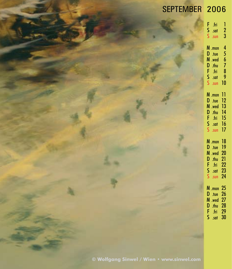## SEPTEMBER 2006

| F<br>s<br>S                     | .fri<br>.sat<br>.sun                                 | 1<br>$\frac{2}{3}$                     |
|---------------------------------|------------------------------------------------------|----------------------------------------|
| M<br>D<br>M<br>D<br>F<br>s<br>S | .mon<br>.tue<br>.wed<br>.thu<br>.fri<br>.sat<br>.sun | 4<br>5<br>6<br>7<br>8<br>9<br>10       |
| M<br>D<br>M<br>D<br>F<br>s<br>S | .mon<br>tue.<br>.wed<br>.thu<br>.fri<br>.sat<br>.sun | 11<br>12<br>13<br>14<br>15<br>16<br>17 |
| M<br>D<br>M<br>D<br>F<br>s<br>S | .mon<br>.tue<br>.wed<br>.thu<br>.fri<br>.sat<br>.sun | 18<br>19<br>20<br>21<br>22<br>23<br>24 |
| M<br>D<br>M<br>D<br>F<br>Ś      | .mon<br>.tue<br>.wed<br>.thu<br>.fri<br>.sat         | 25<br>26<br>27<br>28<br>29<br>30       |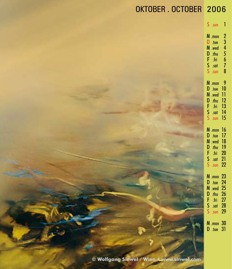| Ś<br>.sun                                                                               | Ī                                                                            |
|-----------------------------------------------------------------------------------------|------------------------------------------------------------------------------|
| M<br>.mon<br>D<br>.tue<br>M<br>.wed<br>D<br>.thu<br>F<br>.fri<br>S<br>.sat<br>.sun      | $\frac{2}{4}$<br>5<br>6<br>7<br>8                                            |
| M<br>.mon<br>D<br>.tue<br>M<br>.wed<br>D<br>.thu<br>F<br>.fri<br>s<br>S<br>.sat<br>.sun | 9<br>10<br>11<br>12<br>13<br>14<br>15                                        |
| M<br>.mon<br>D<br>.tue<br>M<br>.wed<br>D<br>.thu<br>F<br>S<br>S<br>.fri<br>.sat<br>.sun | 16<br>17<br>18<br>19<br>$\overline{20}$<br>$\overline{2}$<br>$\overline{22}$ |
| M<br>.mon<br>D<br>.tue<br>M<br>.wed<br>D<br>F<br>.thu<br>.fri<br>s<br>S<br>.sat<br>.sun | 23<br>24<br>25<br>26<br>27<br>28<br>29                                       |
| M<br>.mon<br>D<br>.tue                                                                  | 30<br>31                                                                     |

**© Wolfgang Sinwel / Wien • www.sinwel.com**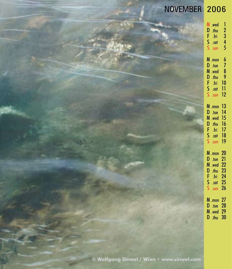| NOVEMBER 2006                             |                                                                                                                                            |
|-------------------------------------------|--------------------------------------------------------------------------------------------------------------------------------------------|
|                                           | M .wed<br>1<br>$\begin{array}{c} 2 \\ 3 \\ 4 \end{array}$<br>D .thu<br>F<br>- fri<br>$S$ .sat<br>$S_{.sun}$<br>5                           |
|                                           | M .mon<br>6<br>$D$ .tue<br>7<br>8<br>M .wed<br>$\bullet$<br>D .thu<br>10<br>F<br>-fri<br>$S$ .sat<br>$\overline{\phantom{0}}$<br>S .sun 12 |
|                                           | <b>M</b> .mon 13<br>D .tue 14<br><b>M</b> .wed 15<br>$D$ .thu $16$<br>F .fri 17<br>$S$ .sat $18$<br>S .sun 19                              |
|                                           | <b>M</b> .mon 20<br>D .tue 21<br>M .wed 22<br>D .thu 23<br>F<br>.fri $24$<br>$S$ .sat 25<br>S .sun 26                                      |
|                                           | M .mon 27<br>D .tue 28<br>M .wed 29<br>D .thu 30                                                                                           |
| © Wolfgang Sinwel / Wien · www.sinwel.com |                                                                                                                                            |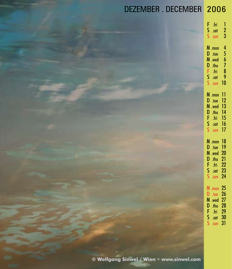### DEZEMBER . DECEMBER 2006

| F<br>.fri<br>s<br>S<br>.sat<br>.sun                                                     | 1<br>$\overline{a}$<br>3                            |
|-----------------------------------------------------------------------------------------|-----------------------------------------------------|
| M<br>.mon<br>D<br>.tue<br>M<br>.wed<br>D<br>F<br>S<br>S<br>.thu<br>.fri<br>.sat<br>.sun | 4<br>5<br>$\frac{6}{7}$<br>8<br>9<br>10             |
| M<br>.mon<br>D<br>.tue<br>M<br>.wed<br>D<br>F<br>S<br>.thu<br>.fri<br>.sat<br>Ś<br>.sun | 11<br>$\overline{12}$<br>13<br>14<br>15<br>16<br>17 |
| M<br>.mon<br>D<br>.tue<br>M<br>.wed<br>D<br>.thu<br>F<br>.fri<br>s<br>S<br>.sat<br>.sun | 18<br>19<br>20<br>21<br>22<br>23<br>24              |
| M<br>.mon<br>D<br>.tue<br>M<br>.wed<br>D<br>F<br>S<br>.thu<br>.fri<br>.sat<br>Ś<br>.sun | 25<br>26<br>27<br>28<br>29<br>30<br>31              |